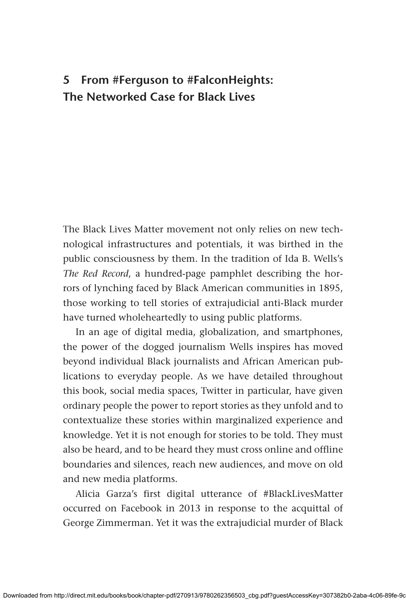# **5 From #Ferguson to #FalconHeights: The Networked Case for Black Lives**

The Black Lives Matter movement not only relies on new technological infrastructures and potentials, it was birthed in the public consciousness by them. In the tradition of Ida B. Wells's *The Red Record*, a hundred-page pamphlet describing the horrors of lynching faced by Black American communities in 1895, those working to tell stories of extrajudicial anti-Black murder have turned wholeheartedly to using public platforms.

In an age of digital media, globalization, and smartphones, the power of the dogged journalism Wells inspires has moved beyond individual Black journalists and African American publications to everyday people. As we have detailed throughout this book, social media spaces, Twitter in particular, have given ordinary people the power to report stories as they unfold and to contextualize these stories within marginalized experience and knowledge. Yet it is not enough for stories to be told. They must also be heard, and to be heard they must cross online and offline boundaries and silences, reach new audiences, and move on old and new media platforms.

Alicia Garza's first digital utterance of #BlackLivesMatter occurred on Facebook in 2013 in response to the acquittal of George Zimmerman. Yet it was the extrajudicial murder of Black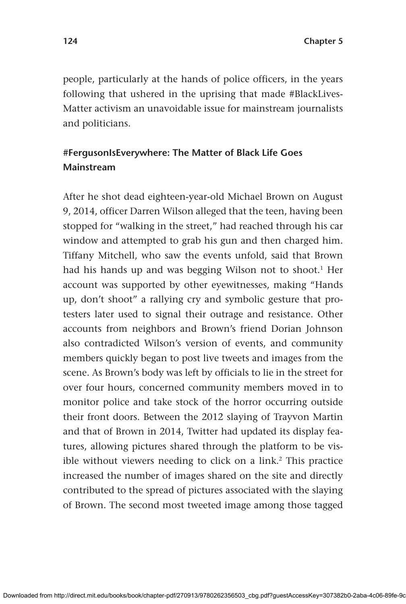people, particularly at the hands of police officers, in the years following that ushered in the uprising that made #BlackLives-Matter activism an unavoidable issue for mainstream journalists and politicians.

## **#FergusonIsEverywhere: The Matter of Black Life Goes Mainstream**

After he shot dead eighteen-year-old Michael Brown on August 9, 2014, officer Darren Wilson alleged that the teen, having been stopped for "walking in the street," had reached through his car window and attempted to grab his gun and then charged him. Tiffany Mitchell, who saw the events unfold, said that Brown had his hands up and was begging Wilson not to shoot.<sup>1</sup> Her account was supported by other eyewitnesses, making "Hands up, don't shoot" a rallying cry and symbolic gesture that protesters later used to signal their outrage and resistance. Other accounts from neighbors and Brown's friend Dorian Johnson also contradicted Wilson's version of events, and community members quickly began to post live tweets and images from the scene. As Brown's body was left by officials to lie in the street for over four hours, concerned community members moved in to monitor police and take stock of the horror occurring outside their front doors. Between the 2012 slaying of Trayvon Martin and that of Brown in 2014, Twitter had updated its display features, allowing pictures shared through the platform to be visible without viewers needing to click on a link.2 This practice increased the number of images shared on the site and directly contributed to the spread of pictures associated with the slaying of Brown. The second most tweeted image among those tagged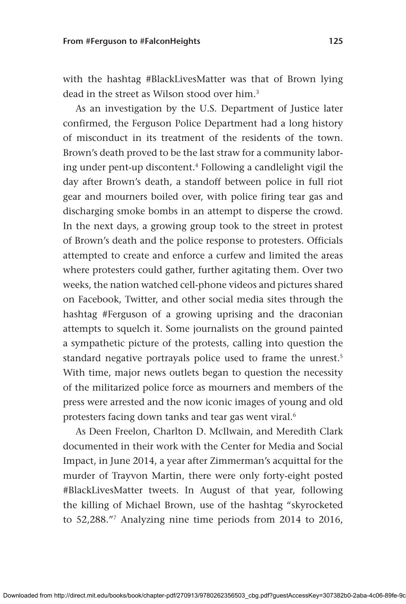with the hashtag #BlackLivesMatter was that of Brown lying dead in the street as Wilson stood over him.3

As an investigation by the U.S. Department of Justice later confirmed, the Ferguson Police Department had a long history of misconduct in its treatment of the residents of the town. Brown's death proved to be the last straw for a community laboring under pent-up discontent.<sup>4</sup> Following a candlelight vigil the day after Brown's death, a standoff between police in full riot gear and mourners boiled over, with police firing tear gas and discharging smoke bombs in an attempt to disperse the crowd. In the next days, a growing group took to the street in protest of Brown's death and the police response to protesters. Officials attempted to create and enforce a curfew and limited the areas where protesters could gather, further agitating them. Over two weeks, the nation watched cell-phone videos and pictures shared on Facebook, Twitter, and other social media sites through the hashtag #Ferguson of a growing uprising and the draconian attempts to squelch it. Some journalists on the ground painted a sympathetic picture of the protests, calling into question the standard negative portrayals police used to frame the unrest.<sup>5</sup> With time, major news outlets began to question the necessity of the militarized police force as mourners and members of the press were arrested and the now iconic images of young and old protesters facing down tanks and tear gas went viral.6

As Deen Freelon, Charlton D. McIlwain, and Meredith Clark documented in their work with the Center for Media and Social Impact, in June 2014, a year after Zimmerman's acquittal for the murder of Trayvon Martin, there were only forty-eight posted #BlackLivesMatter tweets. In August of that year, following the killing of Michael Brown, use of the hashtag "skyrocketed to 52,288."7 Analyzing nine time periods from 2014 to 2016,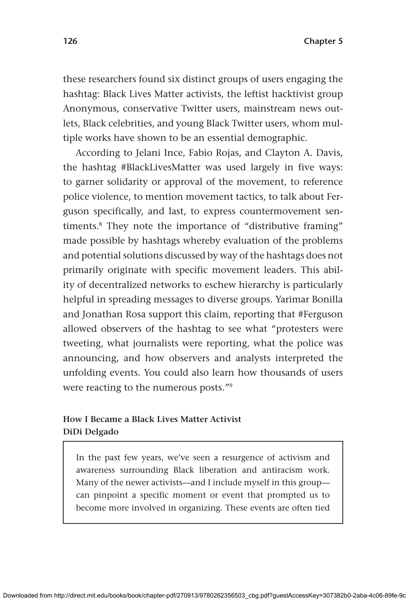these researchers found six distinct groups of users engaging the hashtag: Black Lives Matter activists, the leftist hacktivist group Anonymous, conservative Twitter users, mainstream news outlets, Black celebrities, and young Black Twitter users, whom multiple works have shown to be an essential demographic.

According to Jelani Ince, Fabio Rojas, and Clayton A. Davis, the hashtag #BlackLivesMatter was used largely in five ways: to garner solidarity or approval of the movement, to reference police violence, to mention movement tactics, to talk about Ferguson specifically, and last, to express countermovement sentiments.<sup>8</sup> They note the importance of "distributive framing" made possible by hashtags whereby evaluation of the problems and potential solutions discussed by way of the hashtags does not primarily originate with specific movement leaders. This ability of decentralized networks to eschew hierarchy is particularly helpful in spreading messages to diverse groups. Yarimar Bonilla and Jonathan Rosa support this claim, reporting that #Ferguson allowed observers of the hashtag to see what "protesters were tweeting, what journalists were reporting, what the police was announcing, and how observers and analysts interpreted the unfolding events. You could also learn how thousands of users were reacting to the numerous posts."9

## **How I Became a Black Lives Matter Activist DiDi Delgado**

In the past few years, we've seen a resurgence of activism and awareness surrounding Black liberation and antiracism work. Many of the newer activists—and I include myself in this group can pinpoint a specific moment or event that prompted us to become more involved in organizing. These events are often tied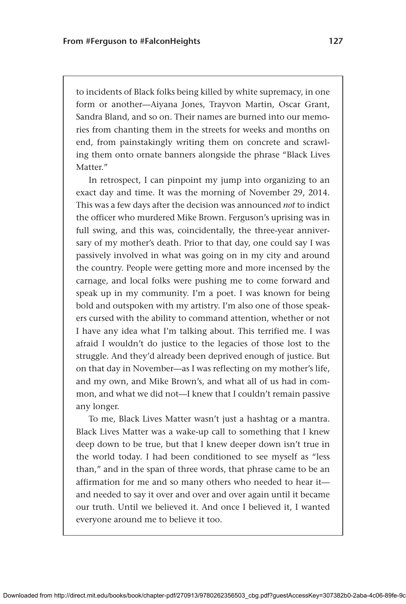to incidents of Black folks being killed by white supremacy, in one form or another—Aiyana Jones, Trayvon Martin, Oscar Grant, Sandra Bland, and so on. Their names are burned into our memories from chanting them in the streets for weeks and months on end, from painstakingly writing them on concrete and scrawling them onto ornate banners alongside the phrase "Black Lives Matter."

In retrospect, I can pinpoint my jump into organizing to an exact day and time. It was the morning of November 29, 2014. This was a few days after the decision was announced *not* to indict the officer who murdered Mike Brown. Ferguson's uprising was in full swing, and this was, coincidentally, the three-year anniversary of my mother's death. Prior to that day, one could say I was passively involved in what was going on in my city and around the country. People were getting more and more incensed by the carnage, and local folks were pushing me to come forward and speak up in my community. I'm a poet. I was known for being bold and outspoken with my artistry. I'm also one of those speakers cursed with the ability to command attention, whether or not I have any idea what I'm talking about. This terrified me. I was afraid I wouldn't do justice to the legacies of those lost to the struggle. And they'd already been deprived enough of justice. But on that day in November—as I was reflecting on my mother's life, and my own, and Mike Brown's, and what all of us had in common, and what we did not—I knew that I couldn't remain passive any longer.

To me, Black Lives Matter wasn't just a hashtag or a mantra. Black Lives Matter was a wake-up call to something that I knew deep down to be true, but that I knew deeper down isn't true in the world today. I had been conditioned to see myself as "less than," and in the span of three words, that phrase came to be an affirmation for me and so many others who needed to hear it and needed to say it over and over and over again until it became our truth. Until we believed it. And once I believed it, I wanted everyone around me to believe it too.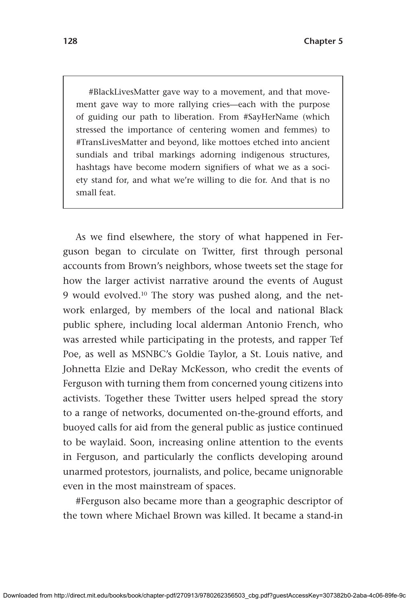#BlackLivesMatter gave way to a movement, and that movement gave way to more rallying cries—each with the purpose of guiding our path to liberation. From #SayHerName (which stressed the importance of centering women and femmes) to #TransLivesMatter and beyond, like mottoes etched into ancient sundials and tribal markings adorning indigenous structures, hashtags have become modern signifiers of what we as a society stand for, and what we're willing to die for. And that is no small feat.

As we find elsewhere, the story of what happened in Ferguson began to circulate on Twitter, first through personal accounts from Brown's neighbors, whose tweets set the stage for how the larger activist narrative around the events of August 9 would evolved.10 The story was pushed along, and the network enlarged, by members of the local and national Black public sphere, including local alderman Antonio French, who was arrested while participating in the protests, and rapper Tef Poe, as well as MSNBC's Goldie Taylor, a St. Louis native, and Johnetta Elzie and DeRay McKesson, who credit the events of Ferguson with turning them from concerned young citizens into activists. Together these Twitter users helped spread the story to a range of networks, documented on-the-ground efforts, and buoyed calls for aid from the general public as justice continued to be waylaid. Soon, increasing online attention to the events in Ferguson, and particularly the conflicts developing around unarmed protestors, journalists, and police, became unignorable even in the most mainstream of spaces.

#Ferguson also became more than a geographic descriptor of the town where Michael Brown was killed. It became a stand-in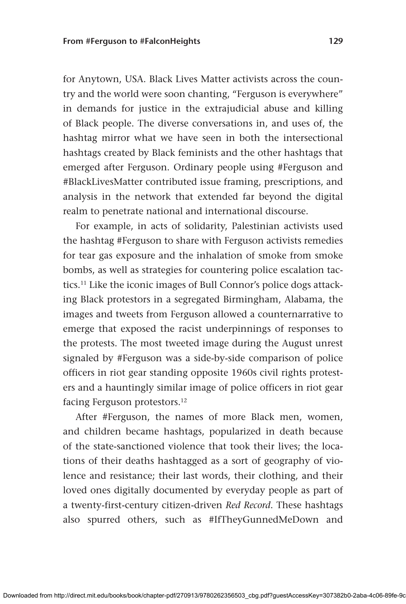for Anytown, USA. Black Lives Matter activists across the country and the world were soon chanting, "Ferguson is everywhere" in demands for justice in the extrajudicial abuse and killing of Black people. The diverse conversations in, and uses of, the hashtag mirror what we have seen in both the intersectional hashtags created by Black feminists and the other hashtags that emerged after Ferguson. Ordinary people using #Ferguson and #BlackLivesMatter contributed issue framing, prescriptions, and analysis in the network that extended far beyond the digital realm to penetrate national and international discourse.

For example, in acts of solidarity, Palestinian activists used the hashtag #Ferguson to share with Ferguson activists remedies for tear gas exposure and the inhalation of smoke from smoke bombs, as well as strategies for countering police escalation tactics.11 Like the iconic images of Bull Connor's police dogs attacking Black protestors in a segregated Birmingham, Alabama, the images and tweets from Ferguson allowed a counternarrative to emerge that exposed the racist underpinnings of responses to the protests. The most tweeted image during the August unrest signaled by #Ferguson was a side-by-side comparison of police officers in riot gear standing opposite 1960s civil rights protesters and a hauntingly similar image of police officers in riot gear facing Ferguson protestors.<sup>12</sup>

After #Ferguson, the names of more Black men, women, and children became hashtags, popularized in death because of the state-sanctioned violence that took their lives; the locations of their deaths hashtagged as a sort of geography of violence and resistance; their last words, their clothing, and their loved ones digitally documented by everyday people as part of a twenty-first-century citizen-driven *Red Record*. These hashtags also spurred others, such as #IfTheyGunnedMeDown and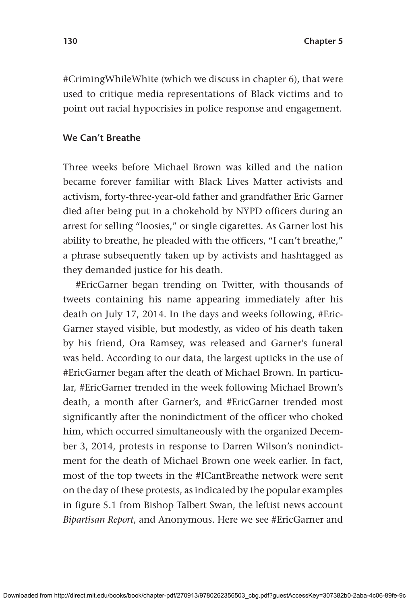#CrimingWhileWhite (which we discuss in chapter 6), that were used to critique media representations of Black victims and to point out racial hypocrisies in police response and engagement.

## **We Can't Breathe**

Three weeks before Michael Brown was killed and the nation became forever familiar with Black Lives Matter activists and activism, forty-three-year-old father and grandfather Eric Garner died after being put in a chokehold by NYPD officers during an arrest for selling "loosies," or single cigarettes. As Garner lost his ability to breathe, he pleaded with the officers, "I can't breathe," a phrase subsequently taken up by activists and hashtagged as they demanded justice for his death.

#EricGarner began trending on Twitter, with thousands of tweets containing his name appearing immediately after his death on July 17, 2014. In the days and weeks following, #Eric-Garner stayed visible, but modestly, as video of his death taken by his friend, Ora Ramsey, was released and Garner's funeral was held. According to our data, the largest upticks in the use of #EricGarner began after the death of Michael Brown. In particular, #EricGarner trended in the week following Michael Brown's death, a month after Garner's, and #EricGarner trended most significantly after the nonindictment of the officer who choked him, which occurred simultaneously with the organized December 3, 2014, protests in response to Darren Wilson's nonindictment for the death of Michael Brown one week earlier. In fact, most of the top tweets in the #ICantBreathe network were sent on the day of these protests, as indicated by the popular examples in figure 5.1 from Bishop Talbert Swan, the leftist news account *Bipartisan Report*, and Anonymous. Here we see #EricGarner and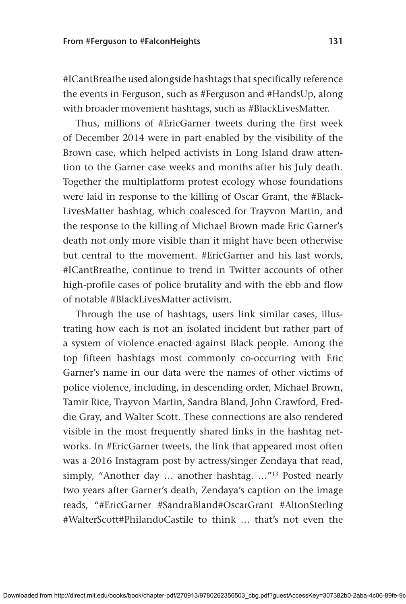#ICantBreathe used alongside hashtags that specifically reference the events in Ferguson, such as #Ferguson and #HandsUp, along with broader movement hashtags, such as #BlackLivesMatter.

Thus, millions of #EricGarner tweets during the first week of December 2014 were in part enabled by the visibility of the Brown case, which helped activists in Long Island draw attention to the Garner case weeks and months after his July death. Together the multiplatform protest ecology whose foundations were laid in response to the killing of Oscar Grant, the #Black-LivesMatter hashtag, which coalesced for Trayvon Martin, and the response to the killing of Michael Brown made Eric Garner's death not only more visible than it might have been otherwise but central to the movement. #EricGarner and his last words, #ICantBreathe, continue to trend in Twitter accounts of other high-profile cases of police brutality and with the ebb and flow of notable #BlackLivesMatter activism.

Through the use of hashtags, users link similar cases, illustrating how each is not an isolated incident but rather part of a system of violence enacted against Black people. Among the top fifteen hashtags most commonly co-occurring with Eric Garner's name in our data were the names of other victims of police violence, including, in descending order, Michael Brown, Tamir Rice, Trayvon Martin, Sandra Bland, John Crawford, Freddie Gray, and Walter Scott. These connections are also rendered visible in the most frequently shared links in the hashtag networks. In #EricGarner tweets, the link that appeared most often was a 2016 Instagram post by actress/singer Zendaya that read, simply, "Another day … another hashtag. …"13 Posted nearly two years after Garner's death, Zendaya's caption on the image reads, "#EricGarner #SandraBland#OscarGrant #AltonSterling #WalterScott#PhilandoCastile to think … that's not even the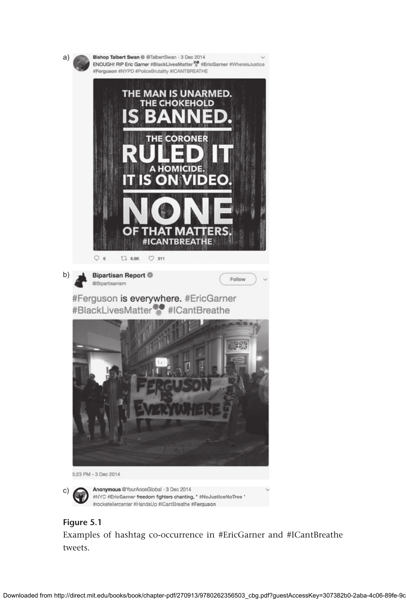

c)

Anonymous @YourAnonGlobal . 3 Dec 2014 #NYC #EricGarner freedom fighters chanting, "#NoJusticeNoTree " #rockefellercenter #HandsUp #ICantBreathe #Ferguson

## **Figure 5.1**

Examples of hashtag co-occurrence in #EricGarner and #ICantBreathe tweets.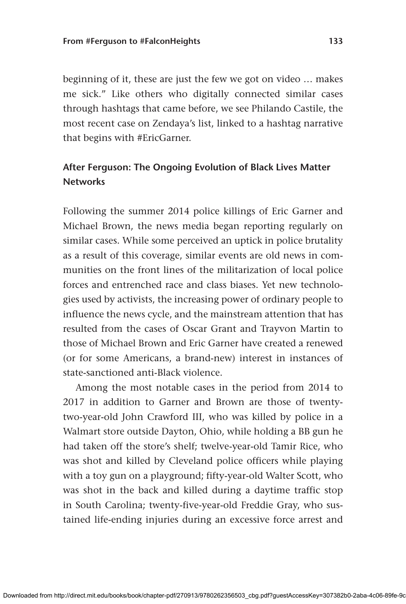beginning of it, these are just the few we got on video … makes me sick." Like others who digitally connected similar cases through hashtags that came before, we see Philando Castile, the most recent case on Zendaya's list, linked to a hashtag narrative that begins with #EricGarner.

## **After Ferguson: The Ongoing Evolution of Black Lives Matter Networks**

Following the summer 2014 police killings of Eric Garner and Michael Brown, the news media began reporting regularly on similar cases. While some perceived an uptick in police brutality as a result of this coverage, similar events are old news in communities on the front lines of the militarization of local police forces and entrenched race and class biases. Yet new technologies used by activists, the increasing power of ordinary people to influence the news cycle, and the mainstream attention that has resulted from the cases of Oscar Grant and Trayvon Martin to those of Michael Brown and Eric Garner have created a renewed (or for some Americans, a brand-new) interest in instances of state-sanctioned anti-Black violence.

Among the most notable cases in the period from 2014 to 2017 in addition to Garner and Brown are those of twentytwo-year-old John Crawford III, who was killed by police in a Walmart store outside Dayton, Ohio, while holding a BB gun he had taken off the store's shelf; twelve-year-old Tamir Rice, who was shot and killed by Cleveland police officers while playing with a toy gun on a playground; fifty-year-old Walter Scott, who was shot in the back and killed during a daytime traffic stop in South Carolina; twenty-five-year-old Freddie Gray, who sustained life-ending injuries during an excessive force arrest and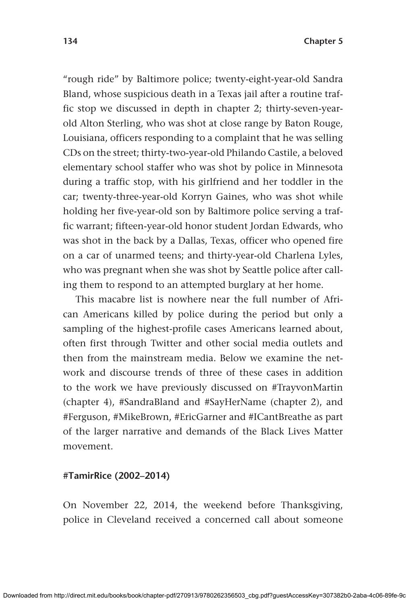"rough ride" by Baltimore police; twenty-eight-year-old Sandra Bland, whose suspicious death in a Texas jail after a routine traffic stop we discussed in depth in chapter 2; thirty-seven-yearold Alton Sterling, who was shot at close range by Baton Rouge, Louisiana, officers responding to a complaint that he was selling CDs on the street; thirty-two-year-old Philando Castile, a beloved elementary school staffer who was shot by police in Minnesota during a traffic stop, with his girlfriend and her toddler in the car; twenty-three-year-old Korryn Gaines, who was shot while holding her five-year-old son by Baltimore police serving a traffic warrant; fifteen-year-old honor student Jordan Edwards, who was shot in the back by a Dallas, Texas, officer who opened fire on a car of unarmed teens; and thirty-year-old Charlena Lyles, who was pregnant when she was shot by Seattle police after calling them to respond to an attempted burglary at her home.

This macabre list is nowhere near the full number of African Americans killed by police during the period but only a sampling of the highest-profile cases Americans learned about, often first through Twitter and other social media outlets and then from the mainstream media. Below we examine the network and discourse trends of three of these cases in addition to the work we have previously discussed on #TrayvonMartin (chapter 4), #SandraBland and #SayHerName (chapter 2), and #Ferguson, #MikeBrown, #EricGarner and #ICantBreathe as part of the larger narrative and demands of the Black Lives Matter movement.

#### **#TamirRice (2002–2014)**

On November 22, 2014, the weekend before Thanksgiving, police in Cleveland received a concerned call about someone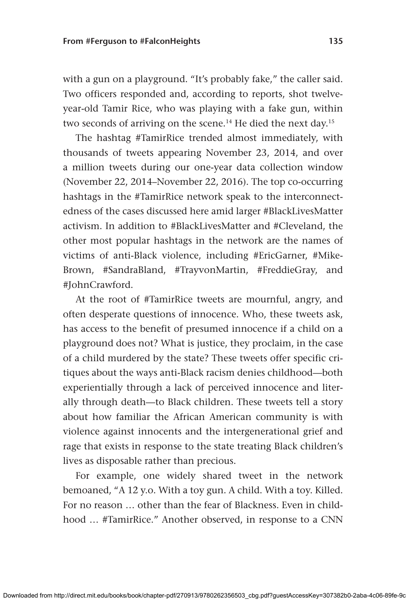with a gun on a playground. "It's probably fake," the caller said. Two officers responded and, according to reports, shot twelveyear-old Tamir Rice, who was playing with a fake gun, within two seconds of arriving on the scene.<sup>14</sup> He died the next day.<sup>15</sup>

The hashtag #TamirRice trended almost immediately, with thousands of tweets appearing November 23, 2014, and over a million tweets during our one-year data collection window (November 22, 2014–November 22, 2016). The top co-occurring hashtags in the #TamirRice network speak to the interconnectedness of the cases discussed here amid larger #BlackLivesMatter activism. In addition to #BlackLivesMatter and #Cleveland, the other most popular hashtags in the network are the names of victims of anti-Black violence, including #EricGarner, #Mike-Brown, #SandraBland, #TrayvonMartin, #FreddieGray, and #JohnCrawford.

At the root of #TamirRice tweets are mournful, angry, and often desperate questions of innocence. Who, these tweets ask, has access to the benefit of presumed innocence if a child on a playground does not? What is justice, they proclaim, in the case of a child murdered by the state? These tweets offer specific critiques about the ways anti-Black racism denies childhood—both experientially through a lack of perceived innocence and literally through death—to Black children. These tweets tell a story about how familiar the African American community is with violence against innocents and the intergenerational grief and rage that exists in response to the state treating Black children's lives as disposable rather than precious.

For example, one widely shared tweet in the network bemoaned, "A 12 y.o. With a toy gun. A child. With a toy. Killed. For no reason … other than the fear of Blackness. Even in childhood … #TamirRice." Another observed, in response to a CNN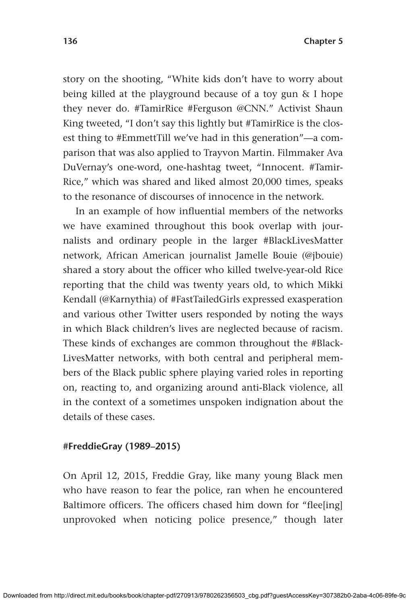**136 Chapter 5**

story on the shooting, "White kids don't have to worry about being killed at the playground because of a toy gun & I hope they never do. #TamirRice #Ferguson @CNN." Activist Shaun King tweeted, "I don't say this lightly but #TamirRice is the closest thing to #EmmettTill we've had in this generation"—a comparison that was also applied to Trayvon Martin. Filmmaker Ava DuVernay's one-word, one-hashtag tweet, "Innocent. #Tamir-Rice," which was shared and liked almost 20,000 times, speaks to the resonance of discourses of innocence in the network.

In an example of how influential members of the networks we have examined throughout this book overlap with journalists and ordinary people in the larger #BlackLivesMatter network, African American journalist Jamelle Bouie (@jbouie) shared a story about the officer who killed twelve-year-old Rice reporting that the child was twenty years old, to which Mikki Kendall (@Karnythia) of #FastTailedGirls expressed exasperation and various other Twitter users responded by noting the ways in which Black children's lives are neglected because of racism. These kinds of exchanges are common throughout the #Black-LivesMatter networks, with both central and peripheral members of the Black public sphere playing varied roles in reporting on, reacting to, and organizing around anti-Black violence, all in the context of a sometimes unspoken indignation about the details of these cases.

### **#FreddieGray (1989–2015)**

On April 12, 2015, Freddie Gray, like many young Black men who have reason to fear the police, ran when he encountered Baltimore officers. The officers chased him down for "flee[ing] unprovoked when noticing police presence," though later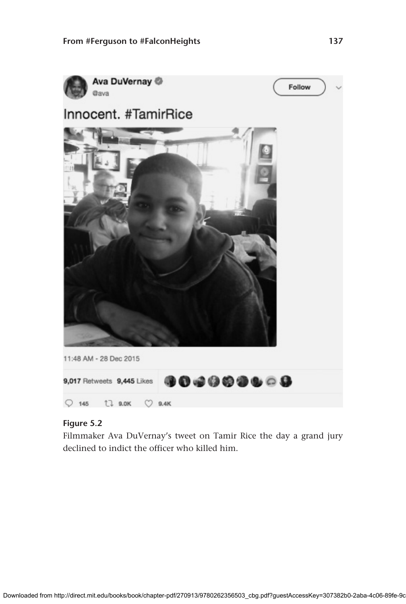

#### **Figure 5.2**

Filmmaker Ava DuVernay's tweet on Tamir Rice the day a grand jury declined to indict the officer who killed him.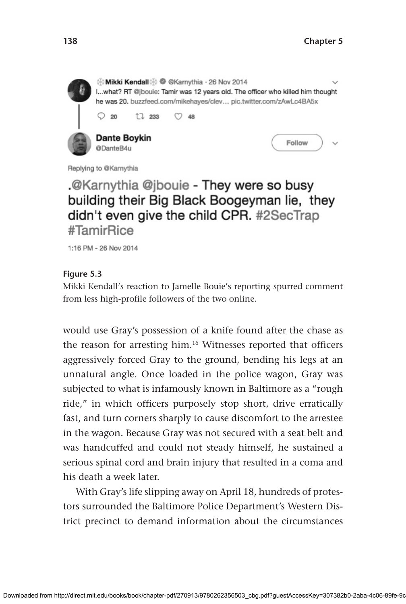

Replying to @Karnythia

# .@Karnythia @jbouie - They were so busy building their Big Black Boogeyman lie, they didn't even give the child CPR. #2SecTrap #TamirRice

1:16 PM - 26 Nov 2014

#### **Figure 5.3**

Mikki Kendall's reaction to Jamelle Bouie's reporting spurred comment from less high-profile followers of the two online.

would use Gray's possession of a knife found after the chase as the reason for arresting him.16 Witnesses reported that officers aggressively forced Gray to the ground, bending his legs at an unnatural angle. Once loaded in the police wagon, Gray was subjected to what is infamously known in Baltimore as a "rough ride," in which officers purposely stop short, drive erratically fast, and turn corners sharply to cause discomfort to the arrestee in the wagon. Because Gray was not secured with a seat belt and was handcuffed and could not steady himself, he sustained a serious spinal cord and brain injury that resulted in a coma and his death a week later.

With Gray's life slipping away on April 18, hundreds of protestors surrounded the Baltimore Police Department's Western District precinct to demand information about the circumstances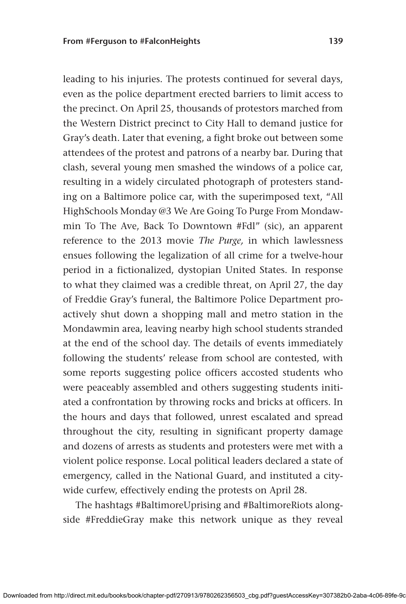leading to his injuries. The protests continued for several days, even as the police department erected barriers to limit access to the precinct. On April 25, thousands of protestors marched from the Western District precinct to City Hall to demand justice for Gray's death. Later that evening, a fight broke out between some attendees of the protest and patrons of a nearby bar. During that clash, several young men smashed the windows of a police car, resulting in a widely circulated photograph of protesters standing on a Baltimore police car, with the superimposed text, "All HighSchools Monday @3 We Are Going To Purge From Mondawmin To The Ave, Back To Downtown #Fdl" (sic), an apparent reference to the 2013 movie *The Purge,* in which lawlessness ensues following the legalization of all crime for a twelve-hour period in a fictionalized, dystopian United States. In response to what they claimed was a credible threat, on April 27, the day of Freddie Gray's funeral, the Baltimore Police Department proactively shut down a shopping mall and metro station in the Mondawmin area, leaving nearby high school students stranded at the end of the school day. The details of events immediately following the students' release from school are contested, with some reports suggesting police officers accosted students who were peaceably assembled and others suggesting students initiated a confrontation by throwing rocks and bricks at officers. In the hours and days that followed, unrest escalated and spread throughout the city, resulting in significant property damage and dozens of arrests as students and protesters were met with a violent police response. Local political leaders declared a state of emergency, called in the National Guard, and instituted a citywide curfew, effectively ending the protests on April 28.

The hashtags #BaltimoreUprising and #BaltimoreRiots alongside #FreddieGray make this network unique as they reveal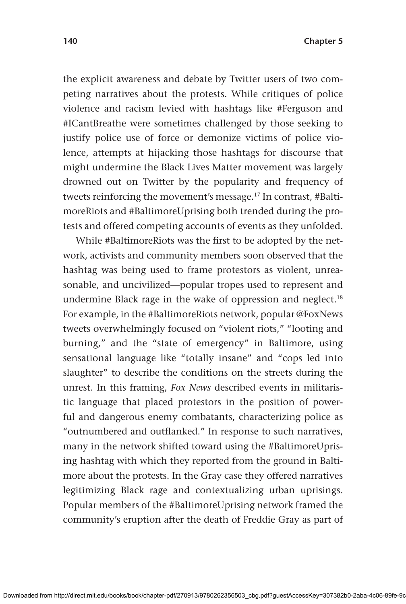the explicit awareness and debate by Twitter users of two competing narratives about the protests. While critiques of police violence and racism levied with hashtags like #Ferguson and #ICantBreathe were sometimes challenged by those seeking to justify police use of force or demonize victims of police violence, attempts at hijacking those hashtags for discourse that might undermine the Black Lives Matter movement was largely drowned out on Twitter by the popularity and frequency of tweets reinforcing the movement's message.17 In contrast, #BaltimoreRiots and #BaltimoreUprising both trended during the protests and offered competing accounts of events as they unfolded.

While #BaltimoreRiots was the first to be adopted by the network, activists and community members soon observed that the hashtag was being used to frame protestors as violent, unreasonable, and uncivilized—popular tropes used to represent and undermine Black rage in the wake of oppression and neglect.<sup>18</sup> For example, in the #BaltimoreRiots network, popular @FoxNews tweets overwhelmingly focused on "violent riots," "looting and burning," and the "state of emergency" in Baltimore, using sensational language like "totally insane" and "cops led into slaughter" to describe the conditions on the streets during the unrest. In this framing, *Fox News* described events in militaristic language that placed protestors in the position of powerful and dangerous enemy combatants, characterizing police as "outnumbered and outflanked." In response to such narratives, many in the network shifted toward using the #BaltimoreUprising hashtag with which they reported from the ground in Baltimore about the protests. In the Gray case they offered narratives legitimizing Black rage and contextualizing urban uprisings. Popular members of the #BaltimoreUprising network framed the community's eruption after the death of Freddie Gray as part of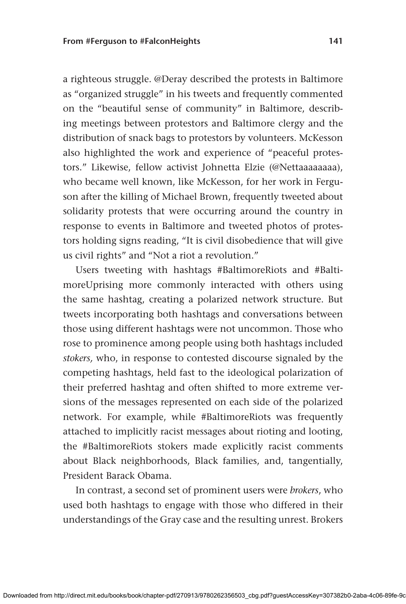a righteous struggle. @Deray described the protests in Baltimore as "organized struggle" in his tweets and frequently commented on the "beautiful sense of community" in Baltimore, describing meetings between protestors and Baltimore clergy and the distribution of snack bags to protestors by volunteers. McKesson also highlighted the work and experience of "peaceful protestors." Likewise, fellow activist Johnetta Elzie (@Nettaaaaaaaa), who became well known, like McKesson, for her work in Ferguson after the killing of Michael Brown, frequently tweeted about solidarity protests that were occurring around the country in response to events in Baltimore and tweeted photos of protestors holding signs reading, "It is civil disobedience that will give us civil rights" and "Not a riot a revolution."

Users tweeting with hashtags #BaltimoreRiots and #BaltimoreUprising more commonly interacted with others using the same hashtag, creating a polarized network structure. But tweets incorporating both hashtags and conversations between those using different hashtags were not uncommon. Those who rose to prominence among people using both hashtags included *stokers,* who, in response to contested discourse signaled by the competing hashtags, held fast to the ideological polarization of their preferred hashtag and often shifted to more extreme versions of the messages represented on each side of the polarized network. For example, while #BaltimoreRiots was frequently attached to implicitly racist messages about rioting and looting, the #BaltimoreRiots stokers made explicitly racist comments about Black neighborhoods, Black families, and, tangentially, President Barack Obama.

In contrast, a second set of prominent users were *brokers*, who used both hashtags to engage with those who differed in their understandings of the Gray case and the resulting unrest. Brokers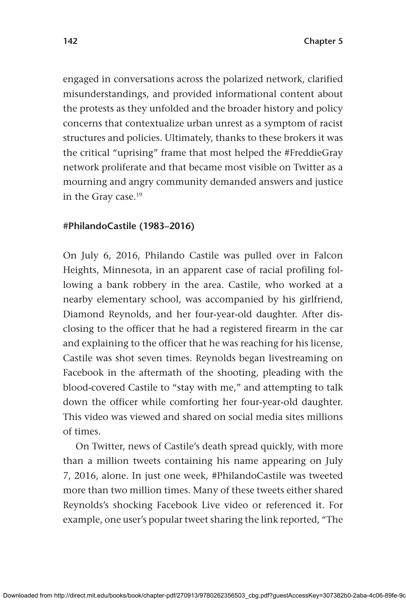engaged in conversations across the polarized network, clarified misunderstandings, and provided informational content about the protests as they unfolded and the broader history and policy concerns that contextualize urban unrest as a symptom of racist structures and policies. Ultimately, thanks to these brokers it was the critical "uprising" frame that most helped the #FreddieGray network proliferate and that became most visible on Twitter as a mourning and angry community demanded answers and justice in the Gray case.<sup>19</sup>

#### **#PhilandoCastile (1983–2016)**

On July 6, 2016, Philando Castile was pulled over in Falcon Heights, Minnesota, in an apparent case of racial profiling following a bank robbery in the area. Castile, who worked at a nearby elementary school, was accompanied by his girlfriend, Diamond Reynolds, and her four-year-old daughter. After disclosing to the officer that he had a registered firearm in the car and explaining to the officer that he was reaching for his license, Castile was shot seven times. Reynolds began livestreaming on Facebook in the aftermath of the shooting, pleading with the blood-covered Castile to "stay with me," and attempting to talk down the officer while comforting her four-year-old daughter. This video was viewed and shared on social media sites millions of times.

On Twitter, news of Castile's death spread quickly, with more than a million tweets containing his name appearing on July 7, 2016, alone. In just one week, #PhilandoCastile was tweeted more than two million times. Many of these tweets either shared Reynolds's shocking Facebook Live video or referenced it. For example, one user's popular tweet sharing the link reported, "The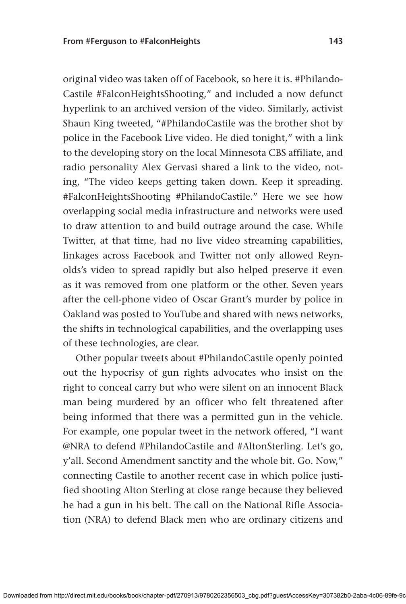original video was taken off of Facebook, so here it is. #Philando-Castile #FalconHeightsShooting," and included a now defunct hyperlink to an archived version of the video. Similarly, activist Shaun King tweeted, "#PhilandoCastile was the brother shot by police in the Facebook Live video. He died tonight," with a link to the developing story on the local Minnesota CBS affiliate, and radio personality Alex Gervasi shared a link to the video, noting, "The video keeps getting taken down. Keep it spreading. #FalconHeightsShooting #PhilandoCastile." Here we see how overlapping social media infrastructure and networks were used to draw attention to and build outrage around the case. While Twitter, at that time, had no live video streaming capabilities, linkages across Facebook and Twitter not only allowed Reynolds's video to spread rapidly but also helped preserve it even as it was removed from one platform or the other. Seven years after the cell-phone video of Oscar Grant's murder by police in Oakland was posted to YouTube and shared with news networks, the shifts in technological capabilities, and the overlapping uses of these technologies, are clear.

Other popular tweets about #PhilandoCastile openly pointed out the hypocrisy of gun rights advocates who insist on the right to conceal carry but who were silent on an innocent Black man being murdered by an officer who felt threatened after being informed that there was a permitted gun in the vehicle. For example, one popular tweet in the network offered, "I want @NRA to defend #PhilandoCastile and #AltonSterling. Let's go, y'all. Second Amendment sanctity and the whole bit. Go. Now," connecting Castile to another recent case in which police justified shooting Alton Sterling at close range because they believed he had a gun in his belt. The call on the National Rifle Association (NRA) to defend Black men who are ordinary citizens and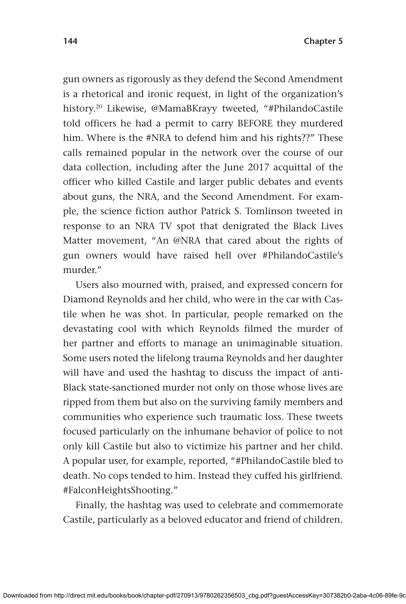gun owners as rigorously as they defend the Second Amendment is a rhetorical and ironic request, in light of the organization's history.20 Likewise, @MamaBKrayy tweeted, "#PhilandoCastile told officers he had a permit to carry BEFORE they murdered him. Where is the #NRA to defend him and his rights??" These calls remained popular in the network over the course of our data collection, including after the June 2017 acquittal of the officer who killed Castile and larger public debates and events about guns, the NRA, and the Second Amendment. For example, the science fiction author Patrick S. Tomlinson tweeted in response to an NRA TV spot that denigrated the Black Lives Matter movement, "An @NRA that cared about the rights of gun owners would have raised hell over #PhilandoCastile's murder."

Users also mourned with, praised, and expressed concern for Diamond Reynolds and her child, who were in the car with Castile when he was shot. In particular, people remarked on the devastating cool with which Reynolds filmed the murder of her partner and efforts to manage an unimaginable situation. Some users noted the lifelong trauma Reynolds and her daughter will have and used the hashtag to discuss the impact of anti-Black state-sanctioned murder not only on those whose lives are ripped from them but also on the surviving family members and communities who experience such traumatic loss. These tweets focused particularly on the inhumane behavior of police to not only kill Castile but also to victimize his partner and her child. A popular user, for example, reported, "#PhilandoCastile bled to death. No cops tended to him. Instead they cuffed his girlfriend. #FalconHeightsShooting."

Finally, the hashtag was used to celebrate and commemorate Castile, particularly as a beloved educator and friend of children.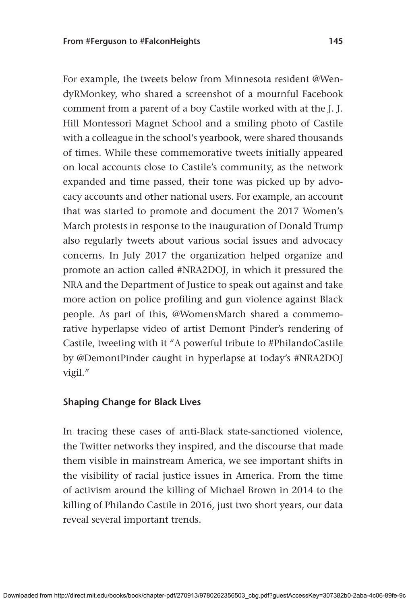For example, the tweets below from Minnesota resident @WendyRMonkey, who shared a screenshot of a mournful Facebook comment from a parent of a boy Castile worked with at the J. J. Hill Montessori Magnet School and a smiling photo of Castile with a colleague in the school's yearbook, were shared thousands of times. While these commemorative tweets initially appeared on local accounts close to Castile's community, as the network expanded and time passed, their tone was picked up by advocacy accounts and other national users. For example, an account that was started to promote and document the 2017 Women's March protests in response to the inauguration of Donald Trump also regularly tweets about various social issues and advocacy concerns. In July 2017 the organization helped organize and promote an action called #NRA2DOJ, in which it pressured the NRA and the Department of Justice to speak out against and take more action on police profiling and gun violence against Black people. As part of this, @WomensMarch shared a commemorative hyperlapse video of artist Demont Pinder's rendering of Castile, tweeting with it "A powerful tribute to #PhilandoCastile by @DemontPinder caught in hyperlapse at today's #NRA2DOJ vigil."

## **Shaping Change for Black Lives**

In tracing these cases of anti-Black state-sanctioned violence, the Twitter networks they inspired, and the discourse that made them visible in mainstream America, we see important shifts in the visibility of racial justice issues in America. From the time of activism around the killing of Michael Brown in 2014 to the killing of Philando Castile in 2016, just two short years, our data reveal several important trends.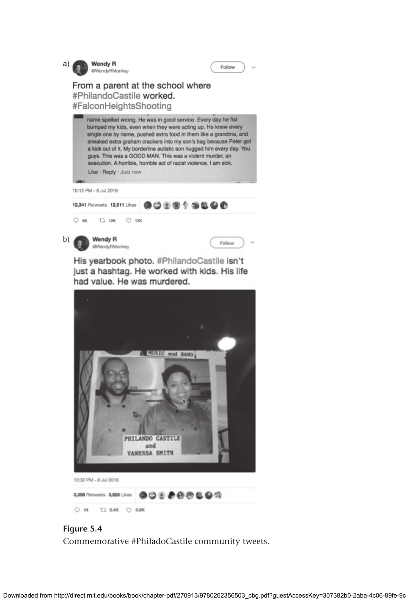

10:32 PM - 6 Jul 2016

3,398 Retweets 3,826 Lives | @ @ @ @ @ @ @ @ @ @ ○ 14 13 алк ⊙ алк

## **Figure 5.4**

Commemorative #PhiladoCastile community tweets.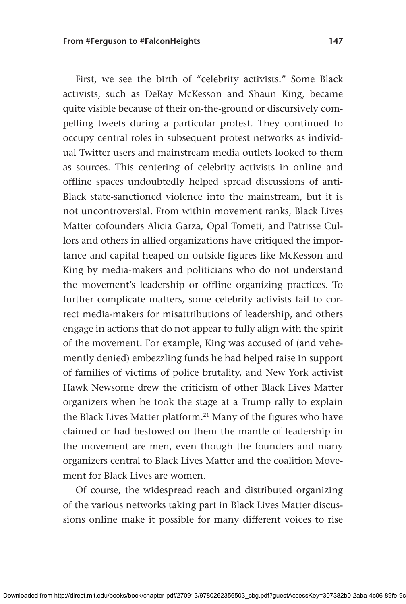First, we see the birth of "celebrity activists." Some Black activists, such as DeRay McKesson and Shaun King, became quite visible because of their on-the-ground or discursively compelling tweets during a particular protest. They continued to occupy central roles in subsequent protest networks as individual Twitter users and mainstream media outlets looked to them as sources. This centering of celebrity activists in online and offline spaces undoubtedly helped spread discussions of anti-Black state-sanctioned violence into the mainstream, but it is not uncontroversial. From within movement ranks, Black Lives Matter cofounders Alicia Garza, Opal Tometi, and Patrisse Cullors and others in allied organizations have critiqued the importance and capital heaped on outside figures like McKesson and King by media-makers and politicians who do not understand the movement's leadership or offline organizing practices. To further complicate matters, some celebrity activists fail to correct media-makers for misattributions of leadership, and others engage in actions that do not appear to fully align with the spirit of the movement. For example, King was accused of (and vehemently denied) embezzling funds he had helped raise in support of families of victims of police brutality, and New York activist Hawk Newsome drew the criticism of other Black Lives Matter organizers when he took the stage at a Trump rally to explain the Black Lives Matter platform.<sup>21</sup> Many of the figures who have claimed or had bestowed on them the mantle of leadership in the movement are men, even though the founders and many organizers central to Black Lives Matter and the coalition Movement for Black Lives are women.

Of course, the widespread reach and distributed organizing of the various networks taking part in Black Lives Matter discussions online make it possible for many different voices to rise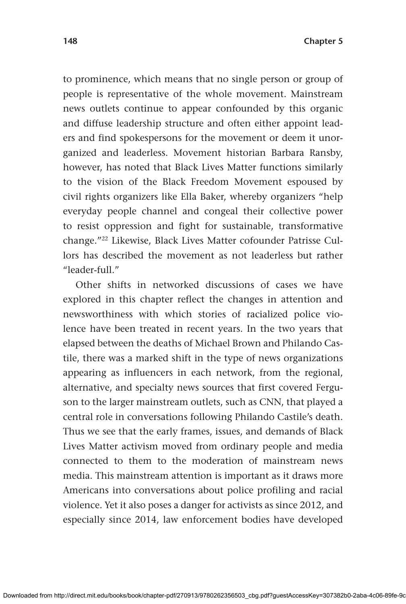to prominence, which means that no single person or group of people is representative of the whole movement. Mainstream news outlets continue to appear confounded by this organic and diffuse leadership structure and often either appoint leaders and find spokespersons for the movement or deem it unorganized and leaderless. Movement historian Barbara Ransby, however, has noted that Black Lives Matter functions similarly to the vision of the Black Freedom Movement espoused by civil rights organizers like Ella Baker, whereby organizers "help everyday people channel and congeal their collective power to resist oppression and fight for sustainable, transformative change."22 Likewise, Black Lives Matter cofounder Patrisse Cullors has described the movement as not leaderless but rather "leader-full."

Other shifts in networked discussions of cases we have explored in this chapter reflect the changes in attention and newsworthiness with which stories of racialized police violence have been treated in recent years. In the two years that elapsed between the deaths of Michael Brown and Philando Castile, there was a marked shift in the type of news organizations appearing as influencers in each network, from the regional, alternative, and specialty news sources that first covered Ferguson to the larger mainstream outlets, such as CNN, that played a central role in conversations following Philando Castile's death. Thus we see that the early frames, issues, and demands of Black Lives Matter activism moved from ordinary people and media connected to them to the moderation of mainstream news media. This mainstream attention is important as it draws more Americans into conversations about police profiling and racial violence. Yet it also poses a danger for activists as since 2012, and especially since 2014, law enforcement bodies have developed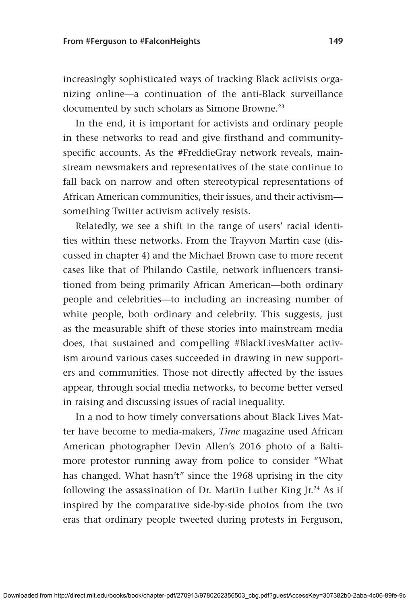increasingly sophisticated ways of tracking Black activists organizing online—a continuation of the anti-Black surveillance documented by such scholars as Simone Browne.<sup>23</sup>

In the end, it is important for activists and ordinary people in these networks to read and give firsthand and communityspecific accounts. As the #FreddieGray network reveals, mainstream newsmakers and representatives of the state continue to fall back on narrow and often stereotypical representations of African American communities, their issues, and their activism something Twitter activism actively resists.

Relatedly, we see a shift in the range of users' racial identities within these networks. From the Trayvon Martin case (discussed in chapter 4) and the Michael Brown case to more recent cases like that of Philando Castile, network influencers transitioned from being primarily African American—both ordinary people and celebrities—to including an increasing number of white people, both ordinary and celebrity. This suggests, just as the measurable shift of these stories into mainstream media does, that sustained and compelling #BlackLivesMatter activism around various cases succeeded in drawing in new supporters and communities. Those not directly affected by the issues appear, through social media networks, to become better versed in raising and discussing issues of racial inequality.

In a nod to how timely conversations about Black Lives Matter have become to media-makers, *Time* magazine used African American photographer Devin Allen's 2016 photo of a Baltimore protestor running away from police to consider "What has changed. What hasn't" since the 1968 uprising in the city following the assassination of Dr. Martin Luther King  $Jr^{24}$  As if inspired by the comparative side-by-side photos from the two eras that ordinary people tweeted during protests in Ferguson,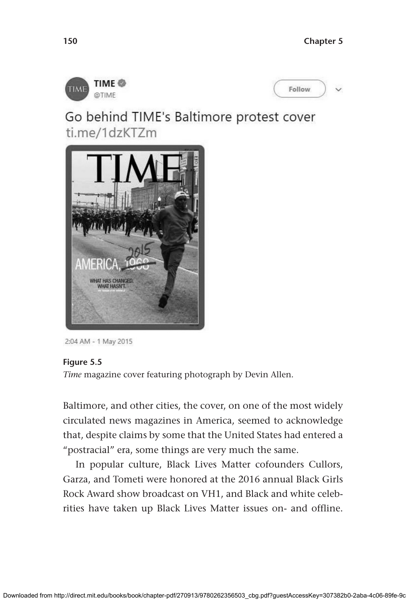Follow



Go behind TIME's Baltimore protest cover ti.me/1dzKTZm



2:04 AM - 1 May 2015

#### **Figure 5.5**

*Time* magazine cover featuring photograph by Devin Allen.

Baltimore, and other cities, the cover, on one of the most widely circulated news magazines in America, seemed to acknowledge that, despite claims by some that the United States had entered a "postracial" era, some things are very much the same.

In popular culture, Black Lives Matter cofounders Cullors, Garza, and Tometi were honored at the 2016 annual Black Girls Rock Award show broadcast on VH1, and Black and white celebrities have taken up Black Lives Matter issues on- and offline.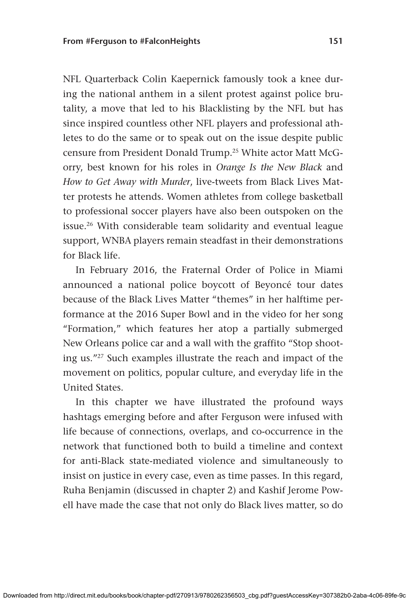NFL Quarterback Colin Kaepernick famously took a knee during the national anthem in a silent protest against police brutality, a move that led to his Blacklisting by the NFL but has since inspired countless other NFL players and professional athletes to do the same or to speak out on the issue despite public censure from President Donald Trump.25 White actor Matt McGorry, best known for his roles in *Orange Is the New Black* and *How to Get Away with Murder*, live-tweets from Black Lives Matter protests he attends. Women athletes from college basketball to professional soccer players have also been outspoken on the issue.26 With considerable team solidarity and eventual league support, WNBA players remain steadfast in their demonstrations for Black life.

In February 2016, the Fraternal Order of Police in Miami announced a national police boycott of Beyoncé tour dates because of the Black Lives Matter "themes" in her halftime performance at the 2016 Super Bowl and in the video for her song "Formation," which features her atop a partially submerged New Orleans police car and a wall with the graffito "Stop shooting us."27 Such examples illustrate the reach and impact of the movement on politics, popular culture, and everyday life in the United States.

In this chapter we have illustrated the profound ways hashtags emerging before and after Ferguson were infused with life because of connections, overlaps, and co-occurrence in the network that functioned both to build a timeline and context for anti-Black state-mediated violence and simultaneously to insist on justice in every case, even as time passes. In this regard, Ruha Benjamin (discussed in chapter 2) and Kashif Jerome Powell have made the case that not only do Black lives matter, so do